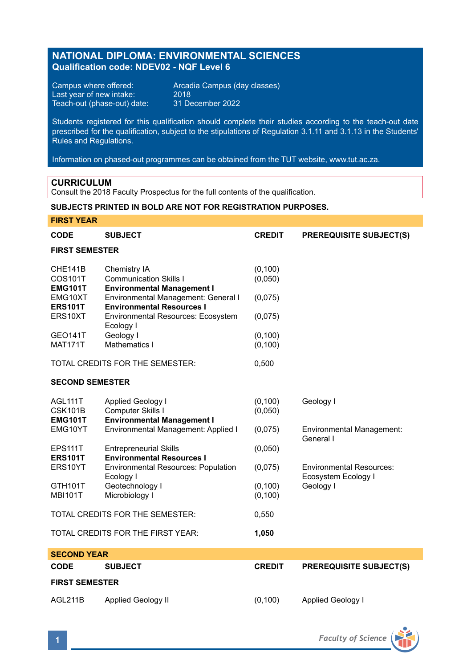# **NATIONAL DIPLOMA: ENVIRONMENTAL SCIENCES Qualification code: NDEV02 - NQF Level 6**

Last year of new intake: 2018 Teach-out (phase-out) date: 31 December 2022

Campus where offered: <br>
Last year of new intake: 2018<br>
2018

Students registered for this qualification should complete their studies according to the teach-out date prescribed for the qualification, subject to the stipulations of Regulation 3.1.11 and 3.1.13 in the Students' Rules and Regulations.

Information on phased-out programmes can be obtained from the TUT website, www.tut.ac.za.

### **CURRICULUM**

Consult the 2018 Faculty Prospectus for the full contents of the qualification.

## **SUBJECTS PRINTED IN BOLD ARE NOT FOR REGISTRATION PURPOSES.**

### **FIRST YEAR**

| <b>CODE</b>                                 | <b>SUBJECT</b>                                                                     | <b>CREDIT</b>        | <b>PREREQUISITE SUBJECT(S)</b>                         |  |  |
|---------------------------------------------|------------------------------------------------------------------------------------|----------------------|--------------------------------------------------------|--|--|
| <b>FIRST SEMESTER</b>                       |                                                                                    |                      |                                                        |  |  |
| CHE141B<br>COS101T<br><b>EMG101T</b>        | Chemistry IA<br><b>Communication Skills I</b><br><b>Environmental Management I</b> | (0, 100)<br>(0,050)  |                                                        |  |  |
| EMG10XT<br><b>ERS101T</b>                   | Environmental Management: General I<br><b>Environmental Resources I</b>            | (0,075)              |                                                        |  |  |
| ERS10XT                                     | <b>Environmental Resources: Ecosystem</b><br>Ecology I                             | (0,075)              |                                                        |  |  |
| <b>GEO141T</b><br><b>MAT171T</b>            | Geology I<br>Mathematics I                                                         | (0, 100)<br>(0, 100) |                                                        |  |  |
|                                             | TOTAL CREDITS FOR THE SEMESTER:                                                    | 0,500                |                                                        |  |  |
| <b>SECOND SEMESTER</b>                      |                                                                                    |                      |                                                        |  |  |
| AGL111T<br><b>CSK101B</b><br><b>EMG101T</b> | Applied Geology I<br>Computer Skills I<br><b>Environmental Management I</b>        | (0, 100)<br>(0.050)  | Geology I                                              |  |  |
| EMG10YT                                     | Environmental Management: Applied I                                                | (0,075)              | <b>Environmental Management:</b><br>General I          |  |  |
| <b>EPS111T</b><br><b>ERS101T</b>            | <b>Entrepreneurial Skills</b><br><b>Environmental Resources I</b>                  | (0,050)              |                                                        |  |  |
| ERS10YT                                     | <b>Environmental Resources: Population</b><br>Ecology I                            | (0,075)              | <b>Environmental Resources:</b><br>Ecosystem Ecology I |  |  |
| GTH101T<br><b>MBI101T</b>                   | Geotechnology I<br>Microbiology I                                                  | (0, 100)<br>(0, 100) | Geology I                                              |  |  |
| TOTAL CREDITS FOR THE SEMESTER:             |                                                                                    | 0,550                |                                                        |  |  |
|                                             | TOTAL CREDITS FOR THE FIRST YEAR:                                                  | 1,050                |                                                        |  |  |
| <b>SECOND YEAR</b>                          |                                                                                    |                      |                                                        |  |  |
| CODE                                        | <b>SUBJECT</b>                                                                     | <b>CREDIT</b>        | <b>PREREQUISITE SUBJECT(S)</b>                         |  |  |
| <b>FIRST SEMESTER</b>                       |                                                                                    |                      |                                                        |  |  |
| AGL211B                                     | <b>Applied Geology II</b>                                                          | (0, 100)             | <b>Applied Geology I</b>                               |  |  |

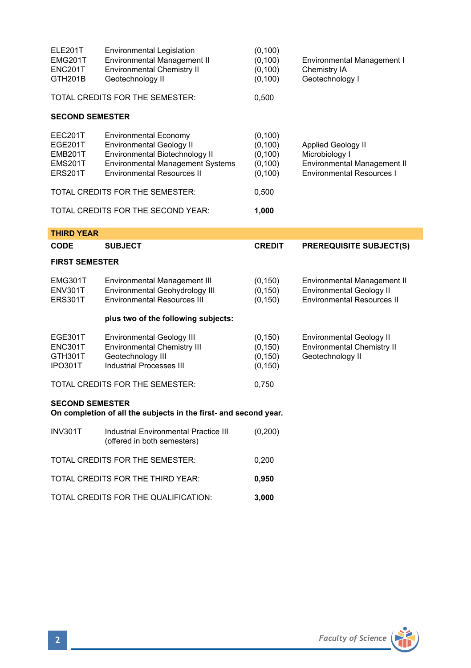| ELE201T<br><b>EMG201T</b><br>ENC201T<br>GTH201B                                            | <b>Environmental Legislation</b><br>Environmental Management II<br><b>Environmental Chemistry II</b><br>Geotechnology II                                                          | (0, 100)<br>(0, 100)<br>(0, 100)<br>(0, 100)             | Environmental Management I<br>Chemistry IA<br>Geotechnology I                                           |  |  |
|--------------------------------------------------------------------------------------------|-----------------------------------------------------------------------------------------------------------------------------------------------------------------------------------|----------------------------------------------------------|---------------------------------------------------------------------------------------------------------|--|--|
|                                                                                            | TOTAL CREDITS FOR THE SEMESTER:                                                                                                                                                   | 0,500                                                    |                                                                                                         |  |  |
| <b>SECOND SEMESTER</b>                                                                     |                                                                                                                                                                                   |                                                          |                                                                                                         |  |  |
| EEC201T<br><b>EGE201T</b><br>EMB201T<br><b>EMS201T</b><br><b>ERS201T</b>                   | <b>Environmental Economy</b><br><b>Environmental Geology II</b><br>Environmental Biotechnology II<br><b>Environmental Management Systems</b><br><b>Environmental Resources II</b> | (0, 100)<br>(0, 100)<br>(0, 100)<br>(0, 100)<br>(0, 100) | Applied Geology II<br>Microbiology I<br>Environmental Management II<br><b>Environmental Resources I</b> |  |  |
| TOTAL CREDITS FOR THE SEMESTER:                                                            |                                                                                                                                                                                   | 0,500                                                    |                                                                                                         |  |  |
| TOTAL CREDITS FOR THE SECOND YEAR:                                                         |                                                                                                                                                                                   | 1,000                                                    |                                                                                                         |  |  |
| <b>THIRD YEAR</b>                                                                          |                                                                                                                                                                                   |                                                          |                                                                                                         |  |  |
| <b>CODE</b>                                                                                | <b>SUBJECT</b>                                                                                                                                                                    | <b>CREDIT</b>                                            | <b>PREREQUISITE SUBJECT(S)</b>                                                                          |  |  |
| <b>FIRST SEMESTER</b>                                                                      |                                                                                                                                                                                   |                                                          |                                                                                                         |  |  |
| EMG301T<br>ENV301T<br><b>ERS301T</b>                                                       | Environmental Management III<br>Environmental Geohydrology III<br><b>Environmental Resources III</b>                                                                              | (0, 150)<br>(0, 150)<br>(0, 150)                         | Environmental Management II<br><b>Environmental Geology II</b><br><b>Environmental Resources II</b>     |  |  |
|                                                                                            | plus two of the following subjects:                                                                                                                                               |                                                          |                                                                                                         |  |  |
| EGE301T<br>ENC301T<br>GTH301T<br>IPO301T                                                   | <b>Environmental Geology III</b><br><b>Environmental Chemistry III</b><br>Geotechnology III<br>Industrial Processes III                                                           | (0, 150)<br>(0, 150)<br>(0, 150)<br>(0, 150)             | <b>Environmental Geology II</b><br><b>Environmental Chemistry II</b><br>Geotechnology II                |  |  |
| TOTAL CREDITS FOR THE SEMESTER:                                                            |                                                                                                                                                                                   | 0,750                                                    |                                                                                                         |  |  |
| <b>SECOND SEMESTER</b><br>On completion of all the subjects in the first- and second year. |                                                                                                                                                                                   |                                                          |                                                                                                         |  |  |
| <b>INV301T</b>                                                                             | Industrial Environmental Practice III<br>(offered in both semesters)                                                                                                              | (0, 200)                                                 |                                                                                                         |  |  |
| TOTAL CREDITS FOR THE SEMESTER:<br>0,200                                                   |                                                                                                                                                                                   |                                                          |                                                                                                         |  |  |
|                                                                                            | TOTAL CREDITS FOR THE THIRD YEAR:                                                                                                                                                 | 0,950                                                    |                                                                                                         |  |  |

TOTAL CREDITS FOR THE QUALIFICATION: **3,000**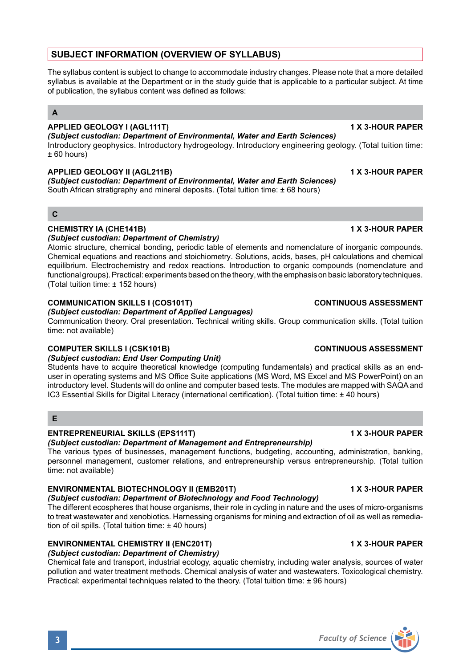# **SUBJECT INFORMATION (OVERVIEW OF SYLLABUS)**

The syllabus content is subject to change to accommodate industry changes. Please note that a more detailed syllabus is available at the Department or in the study guide that is applicable to a particular subject. At time of publication, the syllabus content was defined as follows:

# **A**

# **APPLIED GEOLOGY I (AGL111T) 1 X 3-HOUR PAPER**

### *(Subject custodian: Department of Environmental, Water and Earth Sciences)*

Introductory geophysics. Introductory hydrogeology. Introductory engineering geology. (Total tuition time:  $+60$  hours)

### **APPLIED GEOLOGY II (AGL211B) 1 X 3-HOUR PAPER**

*(Subject custodian: Department of Environmental, Water and Earth Sciences)* South African stratigraphy and mineral deposits. (Total tuition time: ± 68 hours)

## **C**

## **CHEMISTRY IA (CHE141B) 1 X 3-HOUR PAPER**

## *(Subject custodian: Department of Chemistry)*

Atomic structure, chemical bonding, periodic table of elements and nomenclature of inorganic compounds. Chemical equations and reactions and stoichiometry. Solutions, acids, bases, pH calculations and chemical equilibrium. Electrochemistry and redox reactions. Introduction to organic compounds (nomenclature and functional groups). Practical: experiments based on the theory, with the emphasis on basic laboratory techniques. (Total tuition time: ± 152 hours)

## **COMMUNICATION SKILLS I (COS101T) CONTINUOUS ASSESSMENT**

# *(Subject custodian: Department of Applied Languages)*

Communication theory. Oral presentation. Technical writing skills. Group communication skills. (Total tuition time: not available)

# **COMPUTER SKILLS I (CSK101B) CONTINUOUS ASSESSMENT**

### *(Subject custodian: End User Computing Unit)*

Students have to acquire theoretical knowledge (computing fundamentals) and practical skills as an enduser in operating systems and MS Office Suite applications (MS Word, MS Excel and MS PowerPoint) on an introductory level. Students will do online and computer based tests. The modules are mapped with SAQA and IC3 Essential Skills for Digital Literacy (international certification). (Total tuition time: ± 40 hours)

# **E**

# **ENTREPRENEURIAL SKILLS (EPS111T) 1 X 3-HOUR PAPER**

# *(Subject custodian: Department of Management and Entrepreneurship)*

The various types of businesses, management functions, budgeting, accounting, administration, banking, personnel management, customer relations, and entrepreneurship versus entrepreneurship. (Total tuition time: not available)

# **ENVIRONMENTAL BIOTECHNOLOGY II (EMB201T) 1 X 3-HOUR PAPER**

*(Subject custodian: Department of Biotechnology and Food Technology)* The different ecospheres that house organisms, their role in cycling in nature and the uses of micro-organisms to treat wastewater and xenobiotics. Harnessing organisms for mining and extraction of oil as well as remediation of oil spills. (Total tuition time:  $\pm$  40 hours)

# **ENVIRONMENTAL CHEMISTRY II (ENC201T) 1 X 3-HOUR PAPER**

# *(Subject custodian: Department of Chemistry)*

Chemical fate and transport, industrial ecology, aquatic chemistry, including water analysis, sources of water pollution and water treatment methods. Chemical analysis of water and wastewaters. Toxicological chemistry. Practical: experimental techniques related to the theory. (Total tuition time: ± 96 hours)

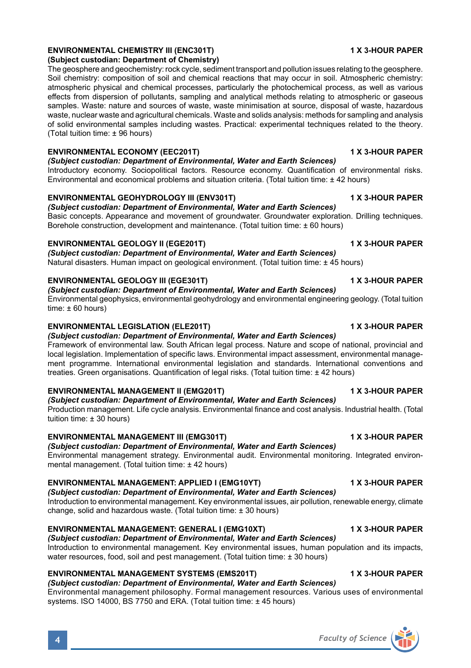# **(Subject custodian: Department of Chemistry)** The geosphere and geochemistry: rock cycle, sediment transport and pollution issues relating to the geosphere.

Soil chemistry: composition of soil and chemical reactions that may occur in soil. Atmospheric chemistry: atmospheric physical and chemical processes, particularly the photochemical process, as well as various effects from dispersion of pollutants, sampling and analytical methods relating to atmospheric or gaseous samples. Waste: nature and sources of waste, waste minimisation at source, disposal of waste, hazardous waste, nuclear waste and agricultural chemicals. Waste and solids analysis: methods for sampling and analysis of solid environmental samples including wastes. Practical: experimental techniques related to the theory. (Total tuition time: ± 96 hours)

### **ENVIRONMENTAL ECONOMY (EEC201T) 1 X 3-HOUR PAPER**

*(Subject custodian: Department of Environmental, Water and Earth Sciences)*

Introductory economy. Sociopolitical factors. Resource economy. Quantification of environmental risks. Environmental and economical problems and situation criteria. (Total tuition time: ± 42 hours)

### **ENVIRONMENTAL GEOHYDROLOGY III (ENV301T) 1 X 3-HOUR PAPER**

*(Subject custodian: Department of Environmental, Water and Earth Sciences)* Basic concepts. Appearance and movement of groundwater. Groundwater exploration. Drilling techniques. Borehole construction, development and maintenance. (Total tuition time: ± 60 hours)

### **ENVIRONMENTAL GEOLOGY II (EGE201T) 1 X 3-HOUR PAPER**

*(Subject custodian: Department of Environmental, Water and Earth Sciences)* Natural disasters. Human impact on geological environment. (Total tuition time: ± 45 hours)

## **ENVIRONMENTAL GEOLOGY III (EGE301T) 1 X 3-HOUR PAPER**

*(Subject custodian: Department of Environmental, Water and Earth Sciences)* Environmental geophysics, environmental geohydrology and environmental engineering geology. (Total tuition time:  $\pm 60$  hours)

### **ENVIRONMENTAL LEGISLATION (ELE201T) 1 X 3-HOUR PAPER**

*(Subject custodian: Department of Environmental, Water and Earth Sciences)* Framework of environmental law. South African legal process. Nature and scope of national, provincial and local legislation. Implementation of specific laws. Environmental impact assessment, environmental management programme. International environmental legislation and standards. International conventions and treaties. Green organisations. Quantification of legal risks. (Total tuition time: ± 42 hours)

### **ENVIRONMENTAL MANAGEMENT II (EMG201T) 1 X 3-HOUR PAPER**

*(Subject custodian: Department of Environmental, Water and Earth Sciences)* Production management. Life cycle analysis. Environmental finance and cost analysis. Industrial health. (Total tuition time: ± 30 hours)

### **ENVIRONMENTAL MANAGEMENT III (EMG301T) 1 X 3-HOUR PAPER**

## *(Subject custodian: Department of Environmental, Water and Earth Sciences)*

Environmental management strategy. Environmental audit. Environmental monitoring. Integrated environmental management. (Total tuition time: ± 42 hours)

### **ENVIRONMENTAL MANAGEMENT: APPLIED I (EMG10YT) 1 X 3-HOUR PAPER**

*(Subject custodian: Department of Environmental, Water and Earth Sciences)*

Introduction to environmental management. Key environmental issues, air pollution, renewable energy, climate change, solid and hazardous waste. (Total tuition time: ± 30 hours)

# **ENVIRONMENTAL MANAGEMENT: GENERAL I (EMG10XT) 1 X 3-HOUR PAPER**

*(Subject custodian: Department of Environmental, Water and Earth Sciences)* Introduction to environmental management. Key environmental issues, human population and its impacts, water resources, food, soil and pest management. (Total tuition time: ± 30 hours)

### **ENVIRONMENTAL MANAGEMENT SYSTEMS (EMS201T) 1 X 3-HOUR PAPER**

# *(Subject custodian: Department of Environmental, Water and Earth Sciences)*

Environmental management philosophy. Formal management resources. Various uses of environmental systems. ISO 14000, BS 7750 and ERA. (Total tuition time: ± 45 hours)

# **ENVIRONMENTAL CHEMISTRY III (ENC301T) 1 X 3-HOUR PAPER**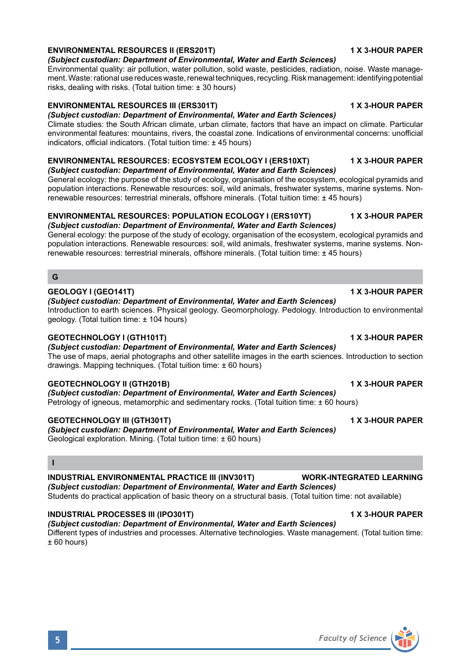# **ENVIRONMENTAL RESOURCES II (ERS201T) 1 X 3-HOUR PAPER**

### *(Subject custodian: Department of Environmental, Water and Earth Sciences)*

Environmental quality: air pollution, water pollution, solid waste, pesticides, radiation, noise. Waste management. Waste: rational use reduces waste, renewal techniques, recycling. Risk management: identifying potential risks, dealing with risks. (Total tuition time: ± 30 hours)

### **ENVIRONMENTAL RESOURCES III (ERS301T) 1 X 3-HOUR PAPER**

### *(Subject custodian: Department of Environmental, Water and Earth Sciences)* Climate studies: the South African climate, urban climate, factors that have an impact on climate. Particular environmental features: mountains, rivers, the coastal zone. Indications of environmental concerns: unofficial indicators, official indicators. (Total tuition time: ± 45 hours)

### **ENVIRONMENTAL RESOURCES: ECOSYSTEM ECOLOGY I (ERS10XT) 1 X 3-HOUR PAPER**

*(Subject custodian: Department of Environmental, Water and Earth Sciences)* General ecology: the purpose of the study of ecology, organisation of the ecosystem, ecological pyramids and population interactions. Renewable resources: soil, wild animals, freshwater systems, marine systems. Nonrenewable resources: terrestrial minerals, offshore minerals. (Total tuition time: ± 45 hours)

### **ENVIRONMENTAL RESOURCES: POPULATION ECOLOGY I (ERS10YT) 1 X 3-HOUR PAPER** *(Subject custodian: Department of Environmental, Water and Earth Sciences)*

General ecology: the purpose of the study of ecology, organisation of the ecosystem, ecological pyramids and population interactions. Renewable resources: soil, wild animals, freshwater systems, marine systems. Nonrenewable resources: terrestrial minerals, offshore minerals. (Total tuition time: ± 45 hours)

# **G**

### **GEOLOGY I (GEO141T) 1 X 3-HOUR PAPER**

## *(Subject custodian: Department of Environmental, Water and Earth Sciences)*

Introduction to earth sciences. Physical geology. Geomorphology. Pedology. Introduction to environmental geology. (Total tuition time: ± 104 hours)

## **GEOTECHNOLOGY I (GTH101T) 1 X 3-HOUR PAPER**

*(Subject custodian: Department of Environmental, Water and Earth Sciences)* The use of maps, aerial photographs and other satellite images in the earth sciences. Introduction to section drawings. Mapping techniques. (Total tuition time: ± 60 hours)

### **GEOTECHNOLOGY II (GTH201B) 1 X 3-HOUR PAPER**

*(Subject custodian: Department of Environmental, Water and Earth Sciences)* Petrology of igneous, metamorphic and sedimentary rocks. (Total tuition time: ± 60 hours)

### **GEOTECHNOLOGY III (GTH301T) 1 X 3-HOUR PAPER**

*(Subject custodian: Department of Environmental, Water and Earth Sciences)* Geological exploration. Mining. (Total tuition time: ± 60 hours)

### **I**

# **INDUSTRIAL ENVIRONMENTAL PRACTICE III (INV301T) WORK-INTEGRATED LEARNING**

*(Subject custodian: Department of Environmental, Water and Earth Sciences)* Students do practical application of basic theory on a structural basis. (Total tuition time: not available)

### **INDUSTRIAL PROCESSES III (IPO301T) 1 X 3-HOUR PAPER**

### *(Subject custodian: Department of Environmental, Water and Earth Sciences)*

Different types of industries and processes. Alternative technologies. Waste management. (Total tuition time: ± 60 hours)